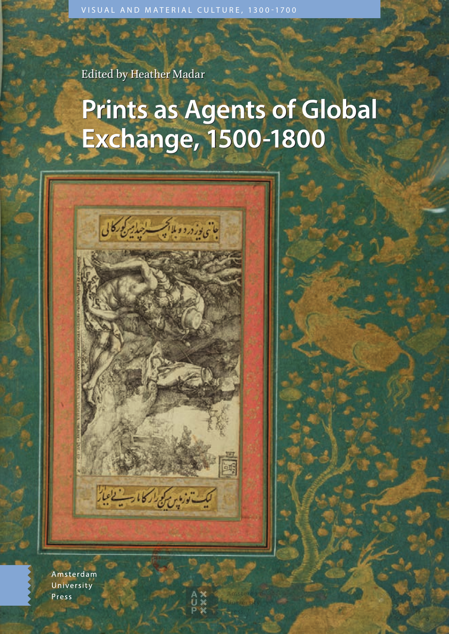Edited by Heather Madar Edited by Heather Madar

بان<sub>ی نوز</sub>دروولااکس اجبایر کورکالی

كيك توزوين كوكرا كالارت الجاز

# **Prints as Agents of Global Prints as Agents of Global Exchange, 1500-1800 Exchange, 1500-1800**

崗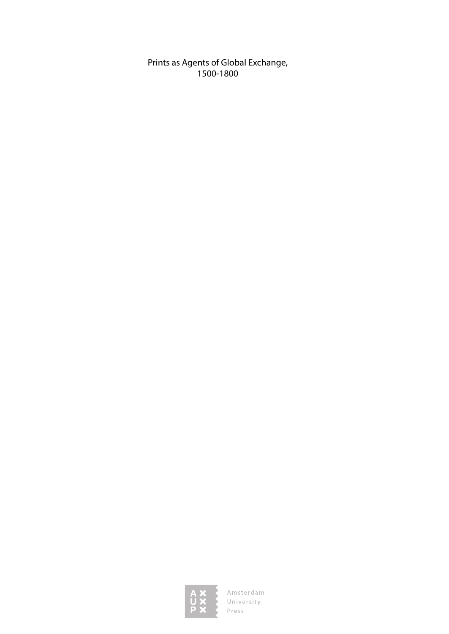Prints as Agents of Global Exchange, 1500-1800

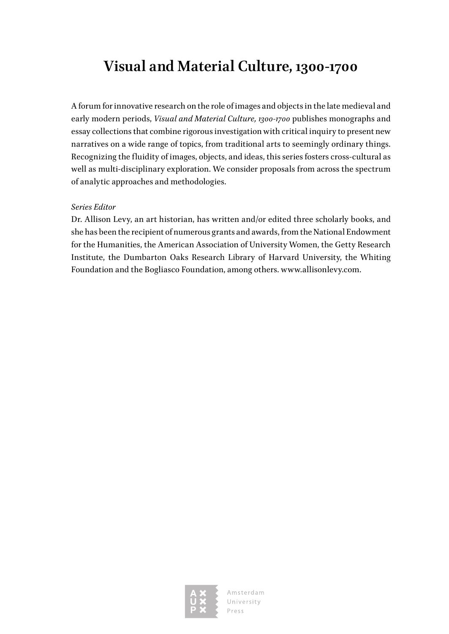### **Visual and Material Culture, 1300-1700**

A forum for innovative research on the role of images and objects in the late medieval and early modern periods, *Visual and Material Culture, 1300-1700* publishes monographs and essay collections that combine rigorous investigation with critical inquiry to present new narratives on a wide range of topics, from traditional arts to seemingly ordinary things. Recognizing the fluidity of images, objects, and ideas, this series fosters cross-cultural as well as multi-disciplinary exploration. We consider proposals from across the spectrum of analytic approaches and methodologies.

### *Series Editor*

Dr. Allison Levy, an art historian, has written and/or edited three scholarly books, and she has been the recipient of numerous grants and awards, from the National Endowment for the Humanities, the American Association of University Women, the Getty Research Institute, the Dumbarton Oaks Research Library of Harvard University, the Whiting Foundation and the Bogliasco Foundation, among others. [www.allisonlevy.com.](http://www.allisonlevy.com)

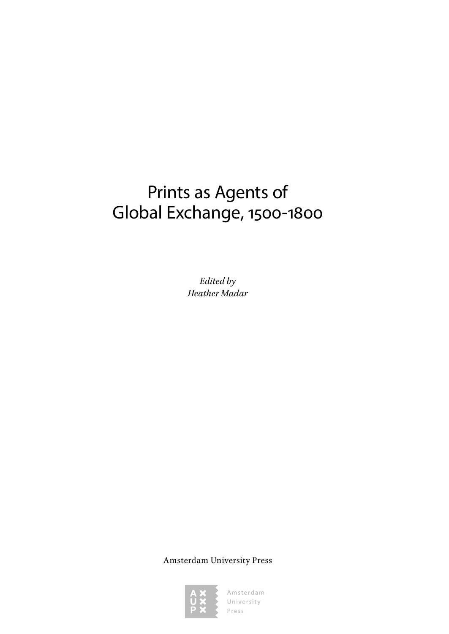# Prints as Agents of Global Exchange, 1500-1800

*Edited by Heather Madar*

Amsterdam University Press

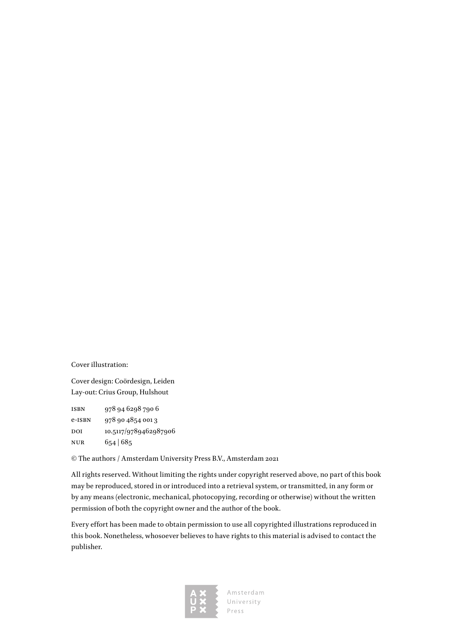Cover illustration:

Cover design: Coördesign, Leiden Lay-out: Crius Group, Hulshout

isbn 978 94 6298 790 6 e-ISBN 978 90 4854 0013 DOI 10.5117/9789462987906 nur 654 | 685

© The authors / Amsterdam University Press B.V., Amsterdam 2021

All rights reserved. Without limiting the rights under copyright reserved above, no part of this book may be reproduced, stored in or introduced into a retrieval system, or transmitted, in any form or by any means (electronic, mechanical, photocopying, recording or otherwise) without the written permission of both the copyright owner and the author of the book.

Every effort has been made to obtain permission to use all copyrighted illustrations reproduced in this book. Nonetheless, whosoever believes to have rights to this material is advised to contact the publisher.

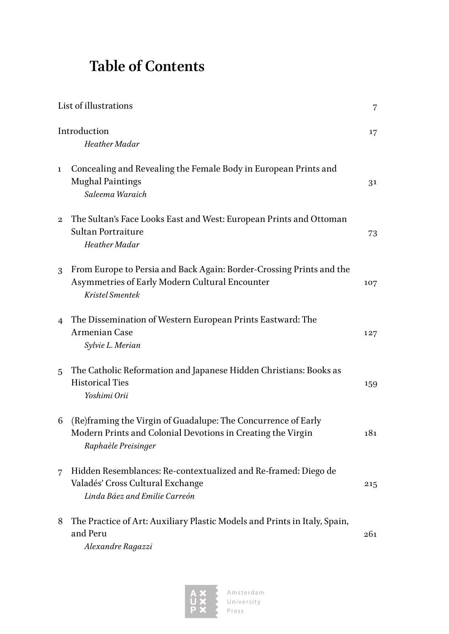# **Table of Contents**

|                | List of illustrations                                                                                                                               |     |
|----------------|-----------------------------------------------------------------------------------------------------------------------------------------------------|-----|
|                | Introduction<br>Heather Madar                                                                                                                       | 17  |
| $\mathbf{1}$   | Concealing and Revealing the Female Body in European Prints and<br><b>Mughal Paintings</b><br>Saleema Waraich                                       | 31  |
| $\mathbf{2}$   | The Sultan's Face Looks East and West: European Prints and Ottoman<br>Sultan Portraiture<br>Heather Madar                                           | 73  |
| 3              | From Europe to Persia and Back Again: Border-Crossing Prints and the<br>Asymmetries of Early Modern Cultural Encounter<br>Kristel Smentek           | 107 |
| $\overline{4}$ | The Dissemination of Western European Prints Eastward: The<br><b>Armenian Case</b><br>Sylvie L. Merian                                              | 127 |
| 5              | The Catholic Reformation and Japanese Hidden Christians: Books as<br><b>Historical Ties</b><br>Yoshimi Orii                                         | 159 |
| 6              | (Re)framing the Virgin of Guadalupe: The Concurrence of Early<br>Modern Prints and Colonial Devotions in Creating the Virgin<br>Raphaèle Preisinger | 181 |
| 7              | Hidden Resemblances: Re-contextualized and Re-framed: Diego de<br>Valadés' Cross Cultural Exchange<br>Linda Báez and Emilie Carreón                 | 215 |
| 8              | The Practice of Art: Auxiliary Plastic Models and Prints in Italy, Spain,<br>and Peru<br>Alexandre Ragazzi                                          | 261 |

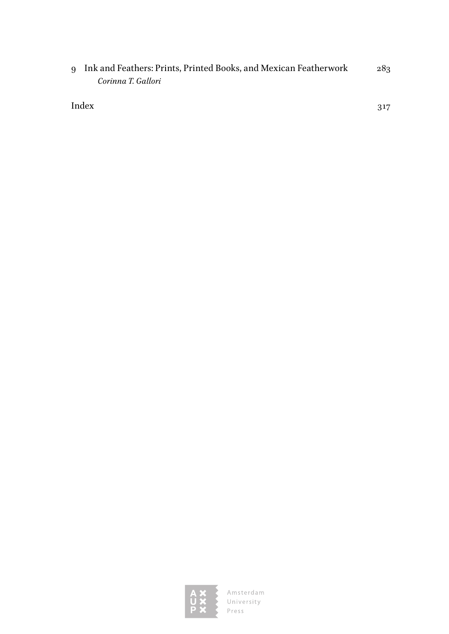9 [Ink and Feathers: Prints, Printed Books, and Mexican Featherwork](#page--1-0) 283 *[Corinna T. Gallori](#page--1-0)*

[Index](#page--1-0) 317

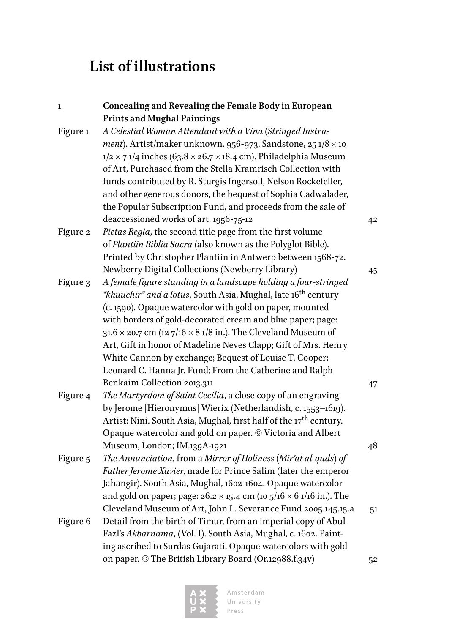## <span id="page-7-0"></span>**List of illustrations**

| 1        | Concealing and Revealing the Female Body in European                              |                |
|----------|-----------------------------------------------------------------------------------|----------------|
|          | <b>Prints and Mughal Paintings</b>                                                |                |
| Figure 1 | A Celestial Woman Attendant with a Vina (Stringed Instru-                         |                |
|          | ment). Artist/maker unknown. 956-973, Sandstone, 25 $1/8 \times 10$               |                |
|          | $1/2 \times 71/4$ inches (63.8 × 26.7 × 18.4 cm). Philadelphia Museum             |                |
|          | of Art, Purchased from the Stella Kramrisch Collection with                       |                |
|          | funds contributed by R. Sturgis Ingersoll, Nelson Rockefeller,                    |                |
|          | and other generous donors, the bequest of Sophia Cadwalader,                      |                |
|          | the Popular Subscription Fund, and proceeds from the sale of                      |                |
|          | deaccessioned works of art, 1956-75-12                                            | 42             |
| Figure 2 | Pietas Regia, the second title page from the first volume                         |                |
|          | of Plantiin Biblia Sacra (also known as the Polyglot Bible).                      |                |
|          | Printed by Christopher Plantiin in Antwerp between 1568-72.                       |                |
|          | Newberry Digital Collections (Newberry Library)                                   | 45             |
| Figure 3 | A female figure standing in a landscape holding a four-stringed                   |                |
|          | "khuuchir" and a lotus, South Asia, Mughal, late 16 <sup>th</sup> century         |                |
|          | (c. 1590). Opaque watercolor with gold on paper, mounted                          |                |
|          | with borders of gold-decorated cream and blue paper; page:                        |                |
|          | $31.6 \times 20.7$ cm (12 7/16 $\times$ 8 1/8 in.). The Cleveland Museum of       |                |
|          | Art, Gift in honor of Madeline Neves Clapp; Gift of Mrs. Henry                    |                |
|          | White Cannon by exchange; Bequest of Louise T. Cooper;                            |                |
|          | Leonard C. Hanna Jr. Fund; From the Catherine and Ralph                           |                |
|          | Benkaim Collection 2013.311                                                       | 47             |
| Figure 4 | The Martyrdom of Saint Cecilia, a close copy of an engraving                      |                |
|          | by Jerome [Hieronymus] Wierix (Netherlandish, c. 1553-1619).                      |                |
|          | Artist: Nini. South Asia, Mughal, first half of the 17 <sup>th</sup> century.     |                |
|          | Opaque watercolor and gold on paper. © Victoria and Albert                        |                |
|          | Museum, London; IM.139A-1921                                                      | 48             |
| Figure 5 | The Annunciation, from a Mirror of Holiness (Mir'at al-quds) of                   |                |
|          | Father Jerome Xavier, made for Prince Salim (later the emperor                    |                |
|          | Jahangir). South Asia, Mughal, 1602-1604. Opaque watercolor                       |                |
|          | and gold on paper; page: $26.2 \times 15.4$ cm (10 $5/16 \times 6$ 1/16 in.). The |                |
|          | Cleveland Museum of Art, John L. Severance Fund 2005.145.15.a                     | 5 <sup>1</sup> |
| Figure 6 | Detail from the birth of Timur, from an imperial copy of Abul                     |                |
|          | Fazl's Akbarnama, (Vol. I). South Asia, Mughal, c. 1602. Paint-                   |                |
|          | ing ascribed to Surdas Gujarati. Opaque watercolors with gold                     |                |
|          | on paper. © The British Library Board (Or.12988.f.34v)                            | 52             |

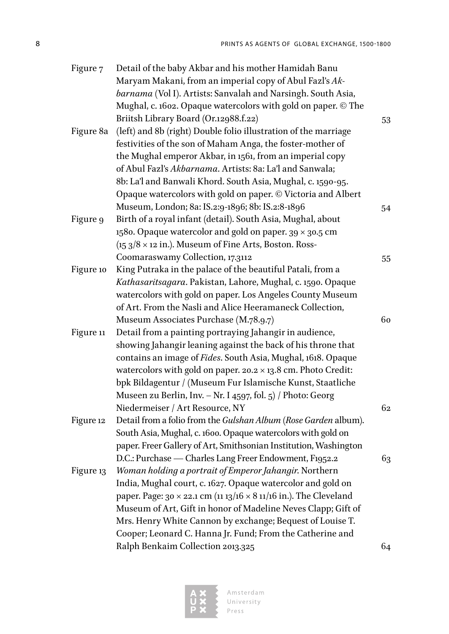| Figure 7  | Detail of the baby Akbar and his mother Hamidah Banu                            |    |
|-----------|---------------------------------------------------------------------------------|----|
|           | Maryam Makani, from an imperial copy of Abul Fazl's Ak-                         |    |
|           | barnama (Vol I). Artists: Sanvalah and Narsingh. South Asia,                    |    |
|           | Mughal, c. 1602. Opaque watercolors with gold on paper. © The                   |    |
|           | Briitsh Library Board (Or.12988.f.22)                                           | 53 |
| Figure 8a | (left) and 8b (right) Double folio illustration of the marriage                 |    |
|           | festivities of the son of Maham Anga, the foster-mother of                      |    |
|           | the Mughal emperor Akbar, in 1561, from an imperial copy                        |    |
|           | of Abul Fazl's Akbarnama. Artists: 8a: La'l and Sanwala;                        |    |
|           | 8b: La'l and Banwali Khord. South Asia, Mughal, c. 1590-95.                     |    |
|           | Opaque watercolors with gold on paper. © Victoria and Albert                    |    |
|           | Museum, London; 8a: IS.2:9-1896; 8b: IS.2:8-1896                                | 54 |
| Figure 9  | Birth of a royal infant (detail). South Asia, Mughal, about                     |    |
|           | 1580. Opaque watercolor and gold on paper. $39 \times 30.5$ cm                  |    |
|           | $(153/8 \times 12 \text{ in.})$ . Museum of Fine Arts, Boston. Ross-            |    |
|           | Coomaraswamy Collection, 17.3112                                                | 55 |
| Figure 10 | King Putraka in the palace of the beautiful Patali, from a                      |    |
|           | Kathasaritsagara. Pakistan, Lahore, Mughal, c. 1590. Opaque                     |    |
|           | watercolors with gold on paper. Los Angeles County Museum                       |    |
|           | of Art. From the Nasli and Alice Heeramaneck Collection,                        |    |
|           | Museum Associates Purchase (M.78.9.7)                                           | 60 |
| Figure 11 | Detail from a painting portraying Jahangir in audience,                         |    |
|           | showing Jahangir leaning against the back of his throne that                    |    |
|           | contains an image of Fides. South Asia, Mughal, 1618. Opaque                    |    |
|           | watercolors with gold on paper. $20.2 \times 13.8$ cm. Photo Credit:            |    |
|           | bpk Bildagentur / (Museum Fur Islamische Kunst, Staatliche                      |    |
|           | Museen zu Berlin, Inv. - Nr. I 4597, fol. 5) / Photo: Georg                     |    |
|           | Niedermeiser / Art Resource, NY                                                 | 62 |
| Figure 12 | Detail from a folio from the Gulshan Album (Rose Garden album).                 |    |
|           | South Asia, Mughal, c. 1600. Opaque watercolors with gold on                    |    |
|           | paper. Freer Gallery of Art, Smithsonian Institution, Washington                |    |
|           | D.C.: Purchase - Charles Lang Freer Endowment, F1952.2                          | 63 |
| Figure 13 | Woman holding a portrait of Emperor Jahangir. Northern                          |    |
|           | India, Mughal court, c. 1627. Opaque watercolor and gold on                     |    |
|           | paper. Page: 30 $\times$ 22.1 cm (11 13/16 $\times$ 8 11/16 in.). The Cleveland |    |
|           | Museum of Art, Gift in honor of Madeline Neves Clapp; Gift of                   |    |
|           | Mrs. Henry White Cannon by exchange; Bequest of Louise T.                       |    |
|           | Cooper; Leonard C. Hanna Jr. Fund; From the Catherine and                       |    |
|           | Ralph Benkaim Collection 2013.325                                               | 64 |

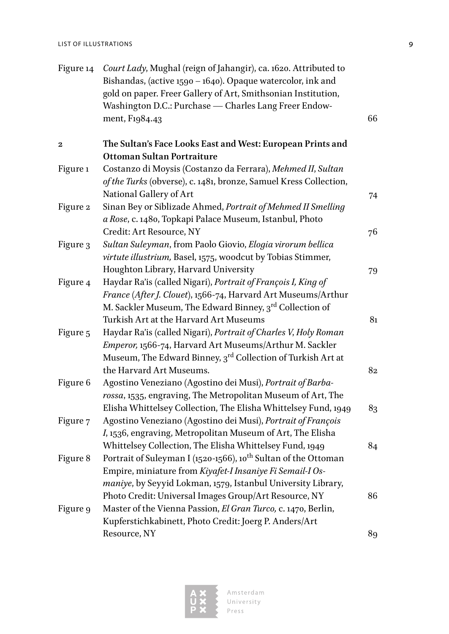| Figure 14      | Court Lady, Mughal (reign of Jahangir), ca. 1620. Attributed to<br>Bishandas, (active 1590 - 1640). Opaque watercolor, ink and<br>gold on paper. Freer Gallery of Art, Smithsonian Institution,<br>Washington D.C.: Purchase - Charles Lang Freer Endow-<br>ment, F1984.43 | 66 |
|----------------|----------------------------------------------------------------------------------------------------------------------------------------------------------------------------------------------------------------------------------------------------------------------------|----|
| $\overline{2}$ | The Sultan's Face Looks East and West: European Prints and                                                                                                                                                                                                                 |    |
| Figure 1       | Ottoman Sultan Portraiture<br>Costanzo di Moysis (Costanzo da Ferrara), Mehmed II, Sultan<br>of the Turks (obverse), c. 1481, bronze, Samuel Kress Collection,<br>National Gallery of Art                                                                                  |    |
| Figure 2       | Sinan Bey or Siblizade Ahmed, Portrait of Mehmed II Smelling<br>a Rose, c. 1480, Topkapi Palace Museum, Istanbul, Photo                                                                                                                                                    | 74 |
| Figure 3       | Credit: Art Resource, NY<br>Sultan Suleyman, from Paolo Giovio, Elogia virorum bellica<br>virtute illustrium, Basel, 1575, woodcut by Tobias Stimmer,                                                                                                                      | 76 |
| Figure 4       | Houghton Library, Harvard University<br>Haydar Ra'is (called Nigari), Portrait of François I, King of                                                                                                                                                                      | 79 |
|                | France (After J. Clouet), 1566-74, Harvard Art Museums/Arthur<br>M. Sackler Museum, The Edward Binney, 3rd Collection of<br>Turkish Art at the Harvard Art Museums                                                                                                         | 81 |
| Figure 5       | Haydar Ra'is (called Nigari), Portrait of Charles V, Holy Roman<br>Emperor, 1566-74, Harvard Art Museums/Arthur M. Sackler<br>Museum, The Edward Binney, 3rd Collection of Turkish Art at                                                                                  |    |
| Figure 6       | the Harvard Art Museums.<br>Agostino Veneziano (Agostino dei Musi), Portrait of Barba-<br>rossa, 1535, engraving, The Metropolitan Museum of Art, The                                                                                                                      | 82 |
| Figure 7       | Elisha Whittelsey Collection, The Elisha Whittelsey Fund, 1949<br>Agostino Veneziano (Agostino dei Musi), Portrait of François<br>I, 1536, engraving, Metropolitan Museum of Art, The Elisha                                                                               | 83 |
| Figure 8       | Whittelsey Collection, The Elisha Whittelsey Fund, 1949<br>Portrait of Suleyman I (1520-1566), 10 <sup>th</sup> Sultan of the Ottoman                                                                                                                                      | 84 |
|                | Empire, miniature from Kiyafet-I Insaniye Fi Semail-I Os-<br>maniye, by Seyyid Lokman, 1579, Istanbul University Library,<br>Photo Credit: Universal Images Group/Art Resource, NY                                                                                         | 86 |
| Figure 9       | Master of the Vienna Passion, El Gran Turco, c. 1470, Berlin,<br>Kupferstichkabinett, Photo Credit: Joerg P. Anders/Art                                                                                                                                                    |    |
|                | Resource, NY                                                                                                                                                                                                                                                               | 89 |

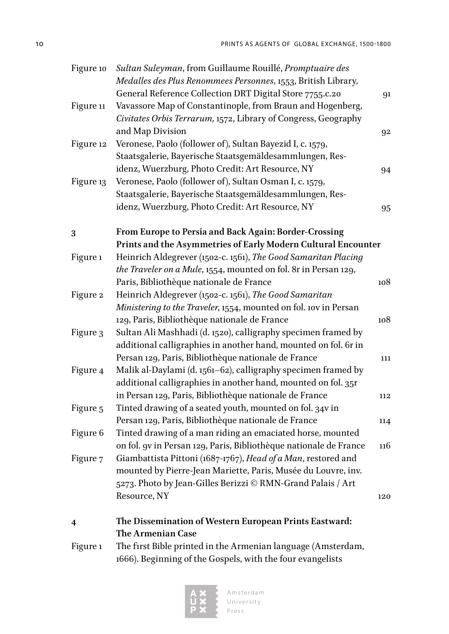| Figure 10 | Sultan Suleyman, from Guillaume Rouillé, Promptuaire des                                                                  |     |
|-----------|---------------------------------------------------------------------------------------------------------------------------|-----|
|           | Medalles des Plus Renommees Personnes, 1553, British Library,<br>General Reference Collection DRT Digital Store 7755.c.20 |     |
| Figure 11 | Vavassore Map of Constantinople, from Braun and Hogenberg,                                                                | 91  |
|           | Civitates Orbis Terrarum, 1572, Library of Congress, Geography                                                            |     |
|           | and Map Division                                                                                                          | 92  |
| Figure 12 | Veronese, Paolo (follower of), Sultan Bayezid I, c. 1579,                                                                 |     |
|           | Staatsgalerie, Bayerische Staatsgemäldesammlungen, Res-                                                                   |     |
|           | idenz, Wuerzburg, Photo Credit: Art Resource, NY                                                                          | 94  |
| Figure 13 | Veronese, Paolo (follower of), Sultan Osman I, c. 1579,                                                                   |     |
|           | Staatsgalerie, Bayerische Staatsgemäldesammlungen, Res-                                                                   |     |
|           | idenz, Wuerzburg, Photo Credit: Art Resource, NY                                                                          | 95  |
|           |                                                                                                                           |     |
| 3         | From Europe to Persia and Back Again: Border-Crossing                                                                     |     |
|           | Prints and the Asymmetries of Early Modern Cultural Encounter                                                             |     |
| Figure 1  | Heinrich Aldegrever (1502-c. 1561), The Good Samaritan Placing                                                            |     |
|           | the Traveler on a Mule, 1554, mounted on fol. 8r in Persan 129,                                                           |     |
|           | Paris, Bibliothèque nationale de France                                                                                   | 108 |
| Figure 2  | Heinrich Aldegrever (1502-c. 1561), The Good Samaritan                                                                    |     |
|           | Ministering to the Traveler, 1554, mounted on fol. 10v in Persan                                                          |     |
|           | 129, Paris, Bibliothèque nationale de France                                                                              | 108 |
| Figure 3  | Sultan Ali Mashhadi (d. 1520), calligraphy specimen framed by                                                             |     |
|           | additional calligraphies in another hand, mounted on fol. 6r in                                                           |     |
|           | Persan 129, Paris, Bibliothèque nationale de France                                                                       | 111 |
| Figure 4  | Malik al-Daylami (d. 1561-62), calligraphy specimen framed by                                                             |     |
|           | additional calligraphies in another hand, mounted on fol. 35r                                                             |     |
|           | in Persan 129, Paris, Bibliothèque nationale de France                                                                    | 112 |
| Figure 5  | Tinted drawing of a seated youth, mounted on fol. 34v in                                                                  |     |
|           | Persan 129, Paris, Bibliothèque nationale de France                                                                       | 114 |
| Figure 6  | Tinted drawing of a man riding an emaciated horse, mounted                                                                |     |
|           | on fol. 9v in Persan 129, Paris, Bibliothèque nationale de France                                                         | 116 |
| Figure 7  | Giambattista Pittoni (1687-1767), Head of a Man, restored and                                                             |     |
|           | mounted by Pierre-Jean Mariette, Paris, Musée du Louvre, inv.                                                             |     |
|           | 5273. Photo by Jean-Gilles Berizzi © RMN-Grand Palais / Art                                                               |     |
|           | Resource, NY                                                                                                              | 120 |
| 4         | The Dissemination of Western European Prints Eastward:                                                                    |     |

**The Armenian Case**

Figure 1 The first Bible printed in the Armenian language (Amsterdam, 1666). Beginning of the Gospels, with the four evangelists

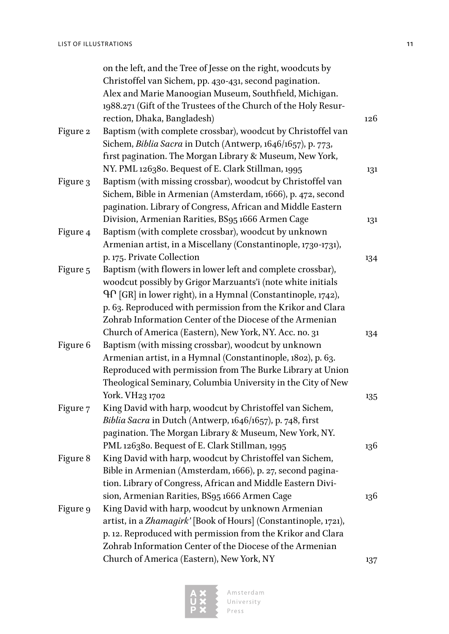|          | on the left, and the Tree of Jesse on the right, woodcuts by    |     |
|----------|-----------------------------------------------------------------|-----|
|          | Christoffel van Sichem, pp. 430-431, second pagination.         |     |
|          | Alex and Marie Manoogian Museum, Southfield, Michigan.          |     |
|          | 1988.271 (Gift of the Trustees of the Church of the Holy Resur- |     |
|          | rection, Dhaka, Bangladesh)                                     | 126 |
| Figure 2 | Baptism (with complete crossbar), woodcut by Christoffel van    |     |
|          | Sichem, Biblia Sacra in Dutch (Antwerp, 1646/1657), p. 773,     |     |
|          | first pagination. The Morgan Library & Museum, New York,        |     |
|          | NY. PML 126380. Bequest of E. Clark Stillman, 1995              | 131 |
| Figure 3 | Baptism (with missing crossbar), woodcut by Christoffel van     |     |
|          | Sichem, Bible in Armenian (Amsterdam, 1666), p. 472, second     |     |
|          | pagination. Library of Congress, African and Middle Eastern     |     |
|          | Division, Armenian Rarities, BS95 1666 Armen Cage               | 131 |
| Figure 4 | Baptism (with complete crossbar), woodcut by unknown            |     |
|          | Armenian artist, in a Miscellany (Constantinople, 1730-1731),   |     |
|          | p. 175. Private Collection                                      | 134 |
| Figure 5 | Baptism (with flowers in lower left and complete crossbar),     |     |
|          | woodcut possibly by Grigor Marzuants'i (note white initials     |     |
|          | ԳՐ [GR] in lower right), in a Hymnal (Constantinople, 1742),    |     |
|          | p. 63. Reproduced with permission from the Krikor and Clara     |     |
|          | Zohrab Information Center of the Diocese of the Armenian        |     |
|          | Church of America (Eastern), New York, NY. Acc. no. 31          | 134 |
| Figure 6 | Baptism (with missing crossbar), woodcut by unknown             |     |
|          | Armenian artist, in a Hymnal (Constantinople, 1802), p. 63.     |     |
|          | Reproduced with permission from The Burke Library at Union      |     |
|          | Theological Seminary, Columbia University in the City of New    |     |
|          | York. VH23 1702                                                 | 135 |
| Figure 7 | King David with harp, woodcut by Christoffel van Sichem,        |     |
|          | Biblia Sacra in Dutch (Antwerp, 1646/1657), p. 748, first       |     |
|          | pagination. The Morgan Library & Museum, New York, NY.          |     |
|          | PML 126380. Bequest of E. Clark Stillman, 1995                  | 136 |
| Figure 8 | King David with harp, woodcut by Christoffel van Sichem,        |     |
|          | Bible in Armenian (Amsterdam, 1666), p. 27, second pagina-      |     |
|          | tion. Library of Congress, African and Middle Eastern Divi-     |     |
|          | sion, Armenian Rarities, BS95 1666 Armen Cage                   | 136 |
| Figure 9 | King David with harp, woodcut by unknown Armenian               |     |
|          | artist, in a Zhamagirk' [Book of Hours] (Constantinople, 1721), |     |
|          | p. 12. Reproduced with permission from the Krikor and Clara     |     |
|          | Zohrab Information Center of the Diocese of the Armenian        |     |
|          | Church of America (Eastern), New York, NY                       | 137 |

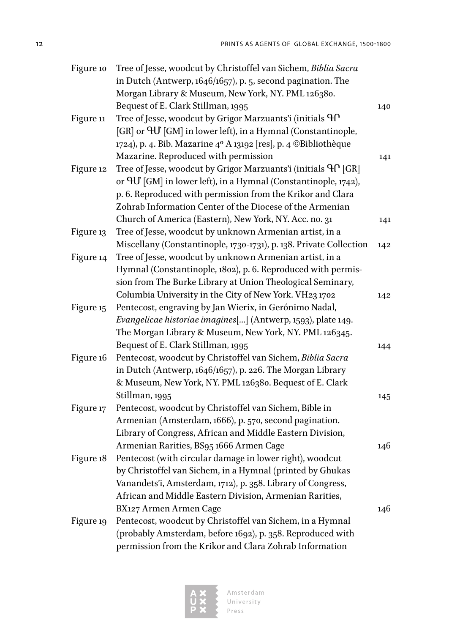| in Dutch (Antwerp, 1646/1657), p. 5, second pagination. The                             |     |
|-----------------------------------------------------------------------------------------|-----|
| Morgan Library & Museum, New York, NY. PML 126380.                                      |     |
| Bequest of E. Clark Stillman, 1995                                                      | 140 |
| Tree of Jesse, woodcut by Grigor Marzuants'i (initials <sup>Q</sup> P<br>Figure 11      |     |
| [GR] or $\Theta$ U [GM] in lower left), in a Hymnal (Constantinople,                    |     |
| 1724), p. 4. Bib. Mazarine 4º A 13192 [res], p. 4 © Bibliothèque                        |     |
| Mazarine. Reproduced with permission                                                    | 141 |
| Tree of Jesse, woodcut by Grigor Marzuants'i (initials <sup>Q</sup> f [GR]<br>Figure 12 |     |
| or $\mathcal{H}$ [GM] in lower left), in a Hymnal (Constantinople, 1742),               |     |
| p. 6. Reproduced with permission from the Krikor and Clara                              |     |
| Zohrab Information Center of the Diocese of the Armenian                                |     |
| Church of America (Eastern), New York, NY. Acc. no. 31                                  | 141 |
| Tree of Jesse, woodcut by unknown Armenian artist, in a<br>Figure 13                    |     |
| Miscellany (Constantinople, 1730-1731), p. 138. Private Collection                      | 142 |
| Tree of Jesse, woodcut by unknown Armenian artist, in a<br>Figure 14                    |     |
| Hymnal (Constantinople, 1802), p. 6. Reproduced with permis-                            |     |
| sion from The Burke Library at Union Theological Seminary,                              |     |
| Columbia University in the City of New York. VH23 1702                                  | 142 |
| Pentecost, engraving by Jan Wierix, in Gerónimo Nadal,<br>Figure 15                     |     |
| Evangelicae historiae imagines[] (Antwerp, 1593), plate 149.                            |     |
| The Morgan Library & Museum, New York, NY. PML 126345.                                  |     |
| Bequest of E. Clark Stillman, 1995                                                      | 144 |
| Pentecost, woodcut by Christoffel van Sichem, Biblia Sacra<br>Figure 16                 |     |
| in Dutch (Antwerp, 1646/1657), p. 226. The Morgan Library                               |     |
| & Museum, New York, NY. PML 126380. Bequest of E. Clark                                 |     |
| Stillman, 1995                                                                          | 145 |
| Pentecost, woodcut by Christoffel van Sichem, Bible in<br>Figure 17                     |     |
| Armenian (Amsterdam, 1666), p. 570, second pagination.                                  |     |
| Library of Congress, African and Middle Eastern Division,                               |     |
| Armenian Rarities, BS95 1666 Armen Cage                                                 | 146 |
| Pentecost (with circular damage in lower right), woodcut<br>Figure 18                   |     |
| by Christoffel van Sichem, in a Hymnal (printed by Ghukas                               |     |
| Vanandets'i, Amsterdam, 1712), p. 358. Library of Congress,                             |     |
| African and Middle Eastern Division, Armenian Rarities,                                 |     |
| BX127 Armen Armen Cage                                                                  | 146 |
| Pentecost, woodcut by Christoffel van Sichem, in a Hymnal<br>Figure 19                  |     |
| (probably Amsterdam, before 1692), p. 358. Reproduced with                              |     |
| permission from the Krikor and Clara Zohrab Information                                 |     |

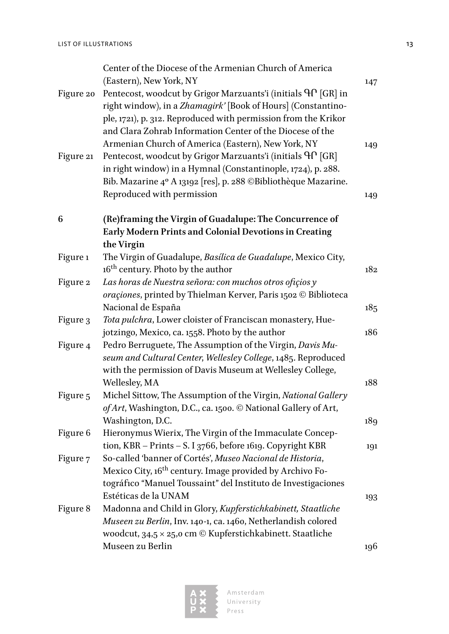| Figure 20 | Center of the Diocese of the Armenian Church of America<br>(Eastern), New York, NY<br>Pentecost, woodcut by Grigor Marzuants'i (initials <sup>Q</sup> f [GR] in<br>right window), in a Zhamagirk' [Book of Hours] (Constantino-<br>ple, 1721), p. 312. Reproduced with permission from the Krikor<br>and Clara Zohrab Information Center of the Diocese of the<br>Armenian Church of America (Eastern), New York, NY | 147<br>149 |
|-----------|----------------------------------------------------------------------------------------------------------------------------------------------------------------------------------------------------------------------------------------------------------------------------------------------------------------------------------------------------------------------------------------------------------------------|------------|
| Figure 21 | Pentecost, woodcut by Grigor Marzuants'i (initials <sup>Q</sup> C [GR]<br>in right window) in a Hymnal (Constantinople, 1724), p. 288.<br>Bib. Mazarine 4º A 13192 [res], p. 288 © Bibliothèque Mazarine.<br>Reproduced with permission                                                                                                                                                                              | 149        |
| 6         | (Re)framing the Virgin of Guadalupe: The Concurrence of<br>Early Modern Prints and Colonial Devotions in Creating<br>the Virgin                                                                                                                                                                                                                                                                                      |            |
| Figure 1  | The Virgin of Guadalupe, Basílica de Guadalupe, Mexico City,<br>16 <sup>th</sup> century. Photo by the author                                                                                                                                                                                                                                                                                                        | 182        |
| Figure 2  | Las horas de Nuestra señora: con muchos otros ofiçios y<br>oraçiones, printed by Thielman Kerver, Paris 1502 © Biblioteca<br>Nacional de España                                                                                                                                                                                                                                                                      | 185        |
| Figure 3  | Tota pulchra, Lower cloister of Franciscan monastery, Hue-<br>jotzingo, Mexico, ca. 1558. Photo by the author                                                                                                                                                                                                                                                                                                        | 186        |
| Figure 4  | Pedro Berruguete, The Assumption of the Virgin, Davis Mu-<br>seum and Cultural Center, Wellesley College, 1485. Reproduced<br>with the permission of Davis Museum at Wellesley College,                                                                                                                                                                                                                              |            |
| Figure 5  | Wellesley, MA<br>Michel Sittow, The Assumption of the Virgin, National Gallery<br>of Art, Washington, D.C., ca. 1500. © National Gallery of Art,                                                                                                                                                                                                                                                                     | 188        |
| Figure 6  | Washington, D.C.<br>Hieronymus Wierix, The Virgin of the Immaculate Concep-<br>tion, KBR - Prints - S. I 3766, before 1619. Copyright KBR                                                                                                                                                                                                                                                                            | 189<br>191 |
| Figure 7  | So-called 'banner of Cortés', Museo Nacional de Historia,<br>Mexico City, 16 <sup>th</sup> century. Image provided by Archivo Fo-<br>tográfico "Manuel Toussaint" del Instituto de Investigaciones<br>Estéticas de la UNAM                                                                                                                                                                                           | 193        |
| Figure 8  | Madonna and Child in Glory, Kupferstichkabinett, Staatliche<br>Museen zu Berlin, Inv. 140-1, ca. 1460, Netherlandish colored<br>woodcut, $34.5 \times 25.0$ cm $\odot$ Kupferstichkabinett. Staatliche                                                                                                                                                                                                               |            |
|           | Museen zu Berlin                                                                                                                                                                                                                                                                                                                                                                                                     | 196        |

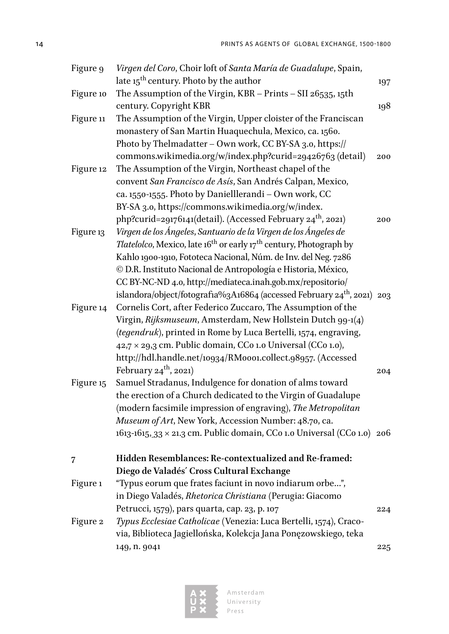| Figure 9  | Virgen del Coro, Choir loft of Santa María de Guadalupe, Spain,                                    |     |
|-----------|----------------------------------------------------------------------------------------------------|-----|
|           | late 15 <sup>th</sup> century. Photo by the author                                                 | 197 |
| Figure 10 | The Assumption of the Virgin, KBR - Prints - SII 26535, 15th                                       |     |
|           | century. Copyright KBR                                                                             | 198 |
| Figure 11 | The Assumption of the Virgin, Upper cloister of the Franciscan                                     |     |
|           | monastery of San Martin Huaquechula, Mexico, ca. 1560.                                             |     |
|           | Photo by Thelmadatter - Own work, CC BY-SA 3.0, https://                                           |     |
|           | commons.wikimedia.org/w/index.php?curid=29426763 (detail)                                          | 200 |
| Figure 12 | The Assumption of the Virgin, Northeast chapel of the                                              |     |
|           | convent San Francisco de Asís, San Andrés Calpan, Mexico,                                          |     |
|           | ca. 1550-1555. Photo by Danielllerandi - Own work, CC                                              |     |
|           | BY-SA 3.0, https://commons.wikimedia.org/w/index.                                                  |     |
|           | php?curid=29176141(detail). (Accessed February 24 <sup>th</sup> , 2021)                            | 200 |
| Figure 13 | Virgen de los Ángeles, Santuario de la Virgen de los Ángeles de                                    |     |
|           | <i>Tlatelolco</i> , Mexico, late 16 <sup>th</sup> or early 17 <sup>th</sup> century, Photograph by |     |
|           | Kahlo 1900-1910, Fototeca Nacional, Núm. de Inv. del Neg. 7286                                     |     |
|           | © D.R. Instituto Nacional de Antropología e Historia, México,                                      |     |
|           | CC BY-NC-ND 4.0, http://mediateca.inah.gob.mx/repositorio/                                         |     |
|           | islandora/object/fotografia%3A16864 (accessed February 24 <sup>th</sup> , 2021) 203                |     |
| Figure 14 | Cornelis Cort, after Federico Zuccaro, The Assumption of the                                       |     |
|           | Virgin, Rijksmuseum, Amsterdam, New Hollstein Dutch 99-1(4)                                        |     |
|           | (tegendruk), printed in Rome by Luca Bertelli, 1574, engraving,                                    |     |
|           | 42,7 × 29,3 cm. Public domain, CCo 1.0 Universal (CCo 1.0),                                        |     |
|           | http://hdl.handle.net/10934/RM0001.collect.98957. (Accessed                                        |     |
|           | February $24^{\text{th}}$ , 2021)                                                                  | 204 |
| Figure 15 | Samuel Stradanus, Indulgence for donation of alms toward                                           |     |
|           | the erection of a Church dedicated to the Virgin of Guadalupe                                      |     |
|           | (modern facsimile impression of engraving), The Metropolitan                                       |     |
|           | Museum of Art, New York, Accession Number: 48.70, ca.                                              |     |
|           | 1613-1615, 33 × 21.3 cm. Public domain, CCo 1.0 Universal (CCo 1.0) 206                            |     |
| 7         | Hidden Resemblances: Re-contextualized and Re-framed:                                              |     |
|           | Diego de Valadés' Cross Cultural Exchange                                                          |     |
| Figure 1  | "Typus eorum que frates faciunt in novo indiarum orbe…",                                           |     |
|           | in Diego Valadés, Rhetorica Christiana (Perugia: Giacomo                                           |     |
|           | Petrucci, 1579), pars quarta, cap. 23, p. 107                                                      | 224 |
| Figure 2  | Typus Ecclesiae Catholicae (Venezia: Luca Bertelli, 1574), Craco-                                  |     |
|           | via, Biblioteca Jagiellońska, Kolekcja Jana Ponęzowskiego, teka                                    |     |
|           | 149, n. 9041                                                                                       | 225 |

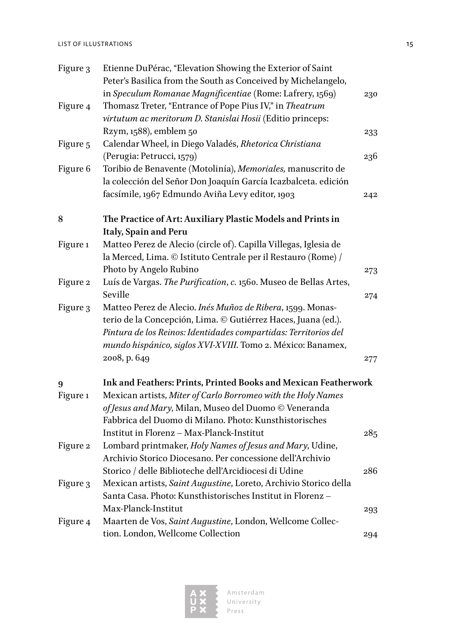| LIST OF ILLUSTRATIONS |  |  |
|-----------------------|--|--|
|-----------------------|--|--|

| Figure 3 | Etienne DuPérac, "Elevation Showing the Exterior of Saint         |     |
|----------|-------------------------------------------------------------------|-----|
|          | Peter's Basilica from the South as Conceived by Michelangelo,     |     |
|          | in Speculum Romanae Magnificentiae (Rome: Lafrery, 1569)          | 230 |
| Figure 4 | Thomasz Treter, "Entrance of Pope Pius IV," in Theatrum           |     |
|          | virtutum ac meritorum D. Stanislai Hosii (Editio princeps:        |     |
|          | Rzym, 1588), emblem 50                                            | 233 |
| Figure 5 | Calendar Wheel, in Diego Valadés, Rhetorica Christiana            |     |
|          | (Perugia: Petrucci, 1579)                                         | 236 |
| Figure 6 | Toribio de Benavente (Motolinía), Memoriales, manuscrito de       |     |
|          | la colección del Señor Don Joaquín García Icazbalceta. edición    |     |
|          | facsímile, 1967 Edmundo Aviña Levy editor, 1903                   | 242 |
| 8        | The Practice of Art: Auxiliary Plastic Models and Prints in       |     |
|          | Italy, Spain and Peru                                             |     |
| Figure 1 | Matteo Perez de Alecio (circle of). Capilla Villegas, Iglesia de  |     |
|          | la Merced, Lima. © Istituto Centrale per il Restauro (Rome) /     |     |
|          | Photo by Angelo Rubino                                            | 273 |
| Figure 2 | Luís de Vargas. The Purification, c. 1560. Museo de Bellas Artes, |     |
|          | Seville                                                           | 274 |
| Figure 3 | Matteo Perez de Alecio. Inés Muñoz de Ribera, 1599. Monas-        |     |
|          | terio de la Concepción, Lima. © Gutiérrez Haces, Juana (ed.).     |     |
|          | Pintura de los Reinos: Identidades compartidas: Territorios del   |     |
|          | mundo hispánico, siglos XVI-XVIII. Tomo 2. México: Banamex,       |     |
|          | 2008, p. 649                                                      | 277 |
| 9        | Ink and Feathers: Prints, Printed Books and Mexican Featherwork   |     |
| Figure 1 | Mexican artists, Miter of Carlo Borromeo with the Holy Names      |     |
|          | of Jesus and Mary, Milan, Museo del Duomo © Veneranda             |     |
|          | Fabbrica del Duomo di Milano. Photo: Kunsthistorisches            |     |
|          | Institut in Florenz - Max-Planck-Institut                         | 285 |
| Figure 2 | Lombard printmaker, Holy Names of Jesus and Mary, Udine,          |     |
|          | Archivio Storico Diocesano. Per concessione dell'Archivio         |     |
|          | Storico / delle Biblioteche dell'Arcidiocesi di Udine             | 286 |
| Figure 3 | Mexican artists, Saint Augustine, Loreto, Archivio Storico della  |     |
|          | Santa Casa. Photo: Kunsthistorisches Institut in Florenz-         |     |
|          | Max-Planck-Institut                                               | 293 |
| Figure 4 | Maarten de Vos, Saint Augustine, London, Wellcome Collec-         |     |
|          | tion. London, Wellcome Collection                                 | 294 |
|          |                                                                   |     |

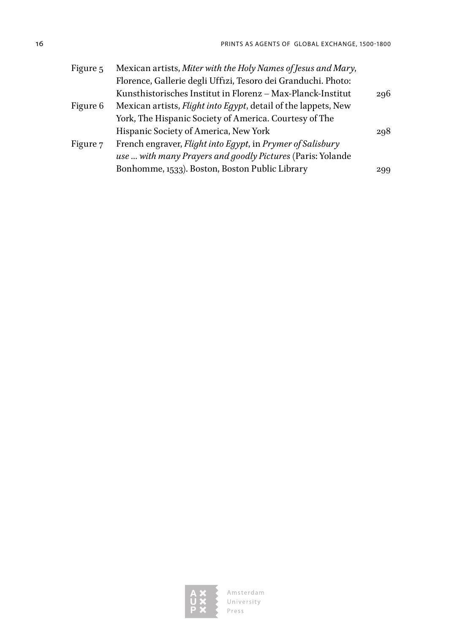| Figure 5 | Mexican artists, Miter with the Holy Names of Jesus and Mary,          |     |
|----------|------------------------------------------------------------------------|-----|
|          | Florence, Gallerie degli Uffizi, Tesoro dei Granduchi. Photo:          |     |
|          | Kunsthistorisches Institut in Florenz - Max-Planck-Institut            | 296 |
| Figure 6 | Mexican artists, <i>Flight into Egypt</i> , detail of the lappets, New |     |
|          | York, The Hispanic Society of America. Courtesy of The                 |     |
|          | Hispanic Society of America, New York                                  | 298 |
| Figure 7 | French engraver, Flight into Egypt, in Prymer of Salisbury             |     |
|          | use  with many Prayers and goodly Pictures (Paris: Yolande             |     |
|          | Bonhomme, 1533). Boston, Boston Public Library                         | 299 |
|          |                                                                        |     |

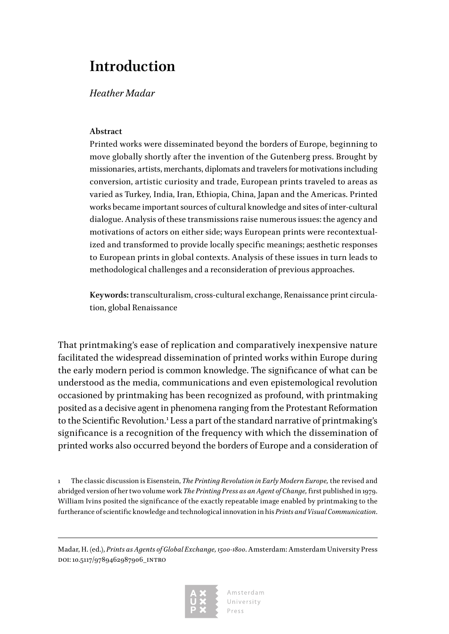### <span id="page-17-0"></span>**Introduction**

### *Heather Madar*

### **Abstract**

Printed works were disseminated beyond the borders of Europe, beginning to move globally shortly after the invention of the Gutenberg press. Brought by missionaries, artists, merchants, diplomats and travelers for motivations including conversion, artistic curiosity and trade, European prints traveled to areas as varied as Turkey, India, Iran, Ethiopia, China, Japan and the Americas. Printed works became important sources of cultural knowledge and sites of inter-cultural dialogue. Analysis of these transmissions raise numerous issues: the agency and motivations of actors on either side; ways European prints were recontextualized and transformed to provide locally specific meanings; aesthetic responses to European prints in global contexts. Analysis of these issues in turn leads to methodological challenges and a reconsideration of previous approaches.

**Keywords:** transculturalism, cross-cultural exchange, Renaissance print circulation, global Renaissance

That printmaking's ease of replication and comparatively inexpensive nature facilitated the widespread dissemination of printed works within Europe during the early modern period is common knowledge. The significance of what can be understood as the media, communications and even epistemological revolution occasioned by printmaking has been recognized as profound, with printmaking posited as a decisive agent in phenomena ranging from the Protestant Reformation to the Scientific Revolution.<sup>1</sup> Less a part of the standard narrative of printmaking's significance is a recognition of the frequency with which the dissemination of printed works also occurred beyond the borders of Europe and a consideration of

1 The classic discussion is Eisenstein, *The Printing Revolution in Early Modern Europe,* the revised and abridged version of her two volume work *The Printing Press as an Agent of Change,* first published in 1979. William Ivins posited the significance of the exactly repeatable image enabled by printmaking to the furtherance of scientific knowledge and technological innovation in his *Prints and Visual Communication*.

Madar, H. (ed.), *Prints as Agents of Global Exchange, 1500-1800*. Amsterdam: Amsterdam University Press doi: 10.5117/9789462987906\_intro

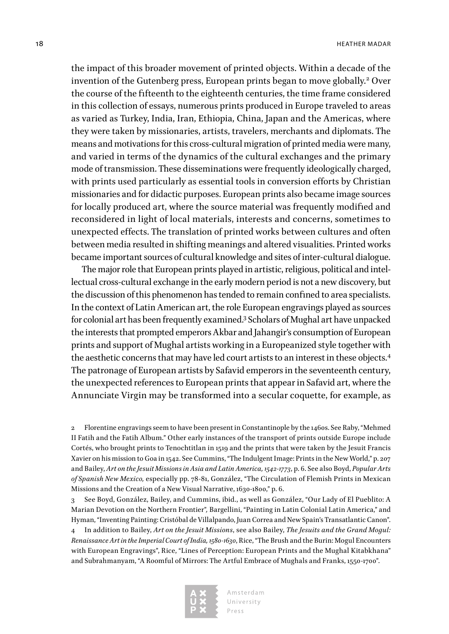the impact of this broader movement of printed objects. Within a decade of the invention of the Gutenberg press, European prints began to move globally.<sup>2</sup> Over the course of the fifteenth to the eighteenth centuries, the time frame considered in this collection of essays, numerous prints produced in Europe traveled to areas as varied as Turkey, India, Iran, Ethiopia, China, Japan and the Americas, where they were taken by missionaries, artists, travelers, merchants and diplomats. The means and motivations for this cross-cultural migration of printed media were many, and varied in terms of the dynamics of the cultural exchanges and the primary mode of transmission. These disseminations were frequently ideologically charged, with prints used particularly as essential tools in conversion efforts by Christian missionaries and for didactic purposes. European prints also became image sources for locally produced art, where the source material was frequently modified and reconsidered in light of local materials, interests and concerns, sometimes to unexpected effects. The translation of printed works between cultures and often between media resulted in shifting meanings and altered visualities. Printed works became important sources of cultural knowledge and sites of inter-cultural dialogue.

The major role that European prints played in artistic, religious, political and intellectual cross-cultural exchange in the early modern period is not a new discovery, but the discussion of this phenomenon has tended to remain confined to area specialists. In the context of Latin American art, the role European engravings played as sources for colonial art has been frequently examined.3 Scholars of Mughal art have unpacked the interests that prompted emperors Akbar and Jahangir's consumption of European prints and support of Mughal artists working in a Europeanized style together with the aesthetic concerns that may have led court artists to an interest in these objects.<sup>4</sup> The patronage of European artists by Safavid emperors in the seventeenth century, the unexpected references to European prints that appear in Safavid art, where the Annunciate Virgin may be transformed into a secular coquette, for example, as

2 Florentine engravings seem to have been present in Constantinople by the 1460s. See Raby, "Mehmed II Fatih and the Fatih Album." Other early instances of the transport of prints outside Europe include Cortés, who brought prints to Tenochtitlan in 1519 and the prints that were taken by the Jesuit Francis Xavier on his mission to Goa in 1542. See Cummins, "The Indulgent Image: Prints in the New World," p. 207 and Bailey, *Art on the Jesuit Missions in Asia and Latin America, 1542-1773*, p. 6. See also Boyd, *Popular Arts of Spanish New Mexico,* especially pp. 78-81, González, "The Circulation of Flemish Prints in Mexican Missions and the Creation of a New Visual Narrative, 1630-1800," p. 6.

3 See Boyd, González, Bailey, and Cummins, ibid., as well as González, "Our Lady of El Pueblito: A Marian Devotion on the Northern Frontier"*,* Bargellini, "Painting in Latin Colonial Latin America," and Hyman, "Inventing Painting: Cristóbal de Villalpando, Juan Correa and New Spain's Transatlantic Canon". 4 In addition to Bailey, *Art on the Jesuit Missions*, see also Bailey, *The Jesuits and the Grand Mogul: Renaissance Art in the Imperial Court of India, 1580-1630*, Rice, "The Brush and the Burin: Mogul Encounters with European Engravings", Rice, "Lines of Perception: European Prints and the Mughal Kitabkhana" and Subrahmanyam, "A Roomful of Mirrors: The Artful Embrace of Mughals and Franks, 1550-1700".

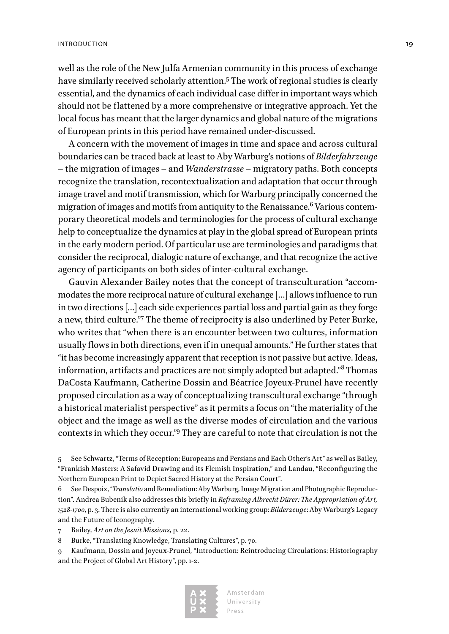well as the role of the New Julfa Armenian community in this process of exchange have similarly received scholarly attention.5 The work of regional studies is clearly essential, and the dynamics of each individual case differ in important ways which should not be flattened by a more comprehensive or integrative approach. Yet the local focus has meant that the larger dynamics and global nature of the migrations of European prints in this period have remained under-discussed.

A concern with the movement of images in time and space and across cultural boundaries can be traced back at least to Aby Warburg's notions of *Bilderfahrzeuge* – the migration of images – and *Wanderstrasse* – migratory paths. Both concepts recognize the translation, recontextualization and adaptation that occur through image travel and motif transmission, which for Warburg principally concerned the migration of images and motifs from antiquity to the Renaissance. $^6$  Various contemporary theoretical models and terminologies for the process of cultural exchange help to conceptualize the dynamics at play in the global spread of European prints in the early modern period. Of particular use are terminologies and paradigms that consider the reciprocal, dialogic nature of exchange, and that recognize the active agency of participants on both sides of inter-cultural exchange.

Gauvin Alexander Bailey notes that the concept of transculturation "accommodates the more reciprocal nature of cultural exchange […] allows influence to run in two directions […] each side experiences partial loss and partial gain as they forge a new, third culture."7 The theme of reciprocity is also underlined by Peter Burke, who writes that "when there is an encounter between two cultures, information usually flows in both directions, even if in unequal amounts." He further states that "it has become increasingly apparent that reception is not passive but active. Ideas, information, artifacts and practices are not simply adopted but adapted."<sup>8</sup> Thomas DaCosta Kaufmann, Catherine Dossin and Béatrice Joyeux-Prunel have recently proposed circulation as a way of conceptualizing transcultural exchange "through a historical materialist perspective" as it permits a focus on "the materiality of the object and the image as well as the diverse modes of circulation and the various contexts in which they occur."9 They are careful to note that circulation is not the

5 See Schwartz, "Terms of Reception: Europeans and Persians and Each Other's Art" as well as Bailey, "Frankish Masters: A Safavid Drawing and its Flemish Inspiration," and Landau, "Reconfiguring the Northern European Print to Depict Sacred History at the Persian Court".

6 See Despoix, "*Translatio* and Remediation: Aby Warburg, Image Migration and Photographic Reproduction". Andrea Bubenik also addresses this briefly in *Reframing Albrecht Dürer: The Appropriation of Art, 1528-1700*, p. 3. There is also currently an international working group: *Bilderzeuge*: Aby Warburg's Legacy and the Future of Iconography.

7 Bailey, *Art on the Jesuit Missions,* p. 22.

8 Burke, "Translating Knowledge, Translating Cultures", p. 70.

9 Kaufmann, Dossin and Joyeux-Prunel, "Introduction: Reintroducing Circulations: Historiography and the Project of Global Art History", pp. 1-2.

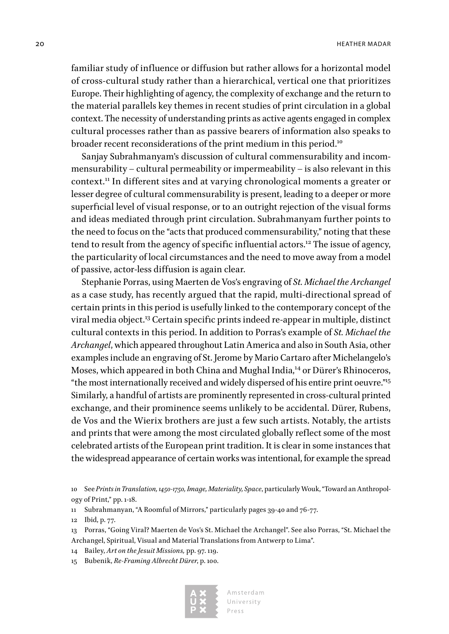familiar study of influence or diffusion but rather allows for a horizontal model of cross-cultural study rather than a hierarchical, vertical one that prioritizes Europe. Their highlighting of agency, the complexity of exchange and the return to the material parallels key themes in recent studies of print circulation in a global context. The necessity of understanding prints as active agents engaged in complex cultural processes rather than as passive bearers of information also speaks to broader recent reconsiderations of the print medium in this period.<sup>10</sup>

Sanjay Subrahmanyam's discussion of cultural commensurability and incommensurability – cultural permeability or impermeability – is also relevant in this context.11 In different sites and at varying chronological moments a greater or lesser degree of cultural commensurability is present, leading to a deeper or more superficial level of visual response, or to an outright rejection of the visual forms and ideas mediated through print circulation. Subrahmanyam further points to the need to focus on the "acts that produced commensurability," noting that these tend to result from the agency of specific influential actors.<sup>12</sup> The issue of agency, the particularity of local circumstances and the need to move away from a model of passive, actor-less diffusion is again clear.

Stephanie Porras, using Maerten de Vos's engraving of *St. Michael the Archangel* as a case study, has recently argued that the rapid, multi-directional spread of certain prints in this period is usefully linked to the contemporary concept of the viral media object.13 Certain specific prints indeed re-appear in multiple, distinct cultural contexts in this period. In addition to Porras's example of *St. Michael the Archangel*, which appeared throughout Latin America and also in South Asia, other examples include an engraving of St. Jerome by Mario Cartaro after Michelangelo's Moses, which appeared in both China and Mughal India,14 or Dürer's Rhinoceros, "the most internationally received and widely dispersed of his entire print oeuvre."15 Similarly, a handful of artists are prominently represented in cross-cultural printed exchange, and their prominence seems unlikely to be accidental. Dürer, Rubens, de Vos and the Wierix brothers are just a few such artists. Notably, the artists and prints that were among the most circulated globally reflect some of the most celebrated artists of the European print tradition. It is clear in some instances that the widespread appearance of certain works was intentional, for example the spread

- 14 Bailey, *Art on the Jesuit Missions,* pp. 97. 119.
- 15 Bubenik, *Re-Framing Albrecht Dürer*, p. 100.



<sup>10</sup> See *Prints in Translation, 1450-1750, Image, Materiality, Space*, particularly Wouk, "Toward an Anthropology of Print," pp. 1-18.

<sup>11</sup> Subrahmanyan, "A Roomful of Mirrors," particularly pages 39-40 and 76-77.

<sup>12</sup> Ibid, p. 77.

<sup>13</sup> Porras, "Going Viral? Maerten de Vos's St. Michael the Archangel". See also Porras, "St. Michael the Archangel, Spiritual, Visual and Material Translations from Antwerp to Lima".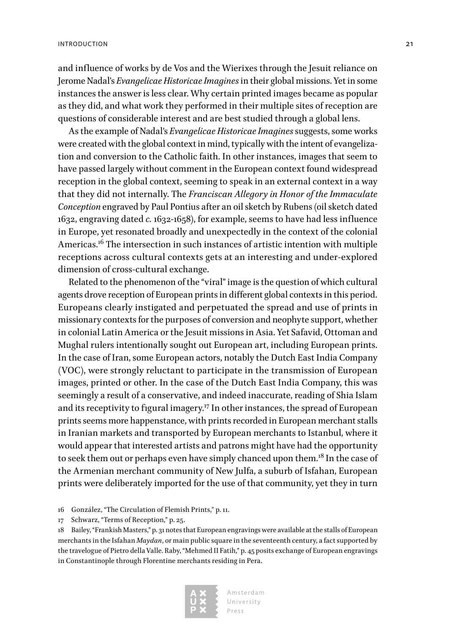#### INTRODUCTION 21

and influence of works by de Vos and the Wierixes through the Jesuit reliance on Jerome Nadal's *Evangelicae Historicae Imagines* in their global missions. Yet in some instances the answer is less clear. Why certain printed images became as popular as they did, and what work they performed in their multiple sites of reception are questions of considerable interest and are best studied through a global lens.

As the example of Nadal's *Evangelicae Historicae Imagines* suggests, some works were created with the global context in mind, typically with the intent of evangelization and conversion to the Catholic faith. In other instances, images that seem to have passed largely without comment in the European context found widespread reception in the global context, seeming to speak in an external context in a way that they did not internally. The *Franciscan Allegory in Honor of the Immaculate Conception* engraved by Paul Pontius after an oil sketch by Rubens (oil sketch dated 1632, engraving dated *c.* 1632-1658), for example, seems to have had less influence in Europe, yet resonated broadly and unexpectedly in the context of the colonial Americas.16 The intersection in such instances of artistic intention with multiple receptions across cultural contexts gets at an interesting and under-explored dimension of cross-cultural exchange.

Related to the phenomenon of the "viral" image is the question of which cultural agents drove reception of European prints in different global contexts in this period. Europeans clearly instigated and perpetuated the spread and use of prints in missionary contexts for the purposes of conversion and neophyte support, whether in colonial Latin America or the Jesuit missions in Asia. Yet Safavid, Ottoman and Mughal rulers intentionally sought out European art, including European prints. In the case of Iran, some European actors, notably the Dutch East India Company (VOC), were strongly reluctant to participate in the transmission of European images, printed or other. In the case of the Dutch East India Company, this was seemingly a result of a conservative, and indeed inaccurate, reading of Shia Islam and its receptivity to figural imagery.<sup>17</sup> In other instances, the spread of European prints seems more happenstance, with prints recorded in European merchant stalls in Iranian markets and transported by European merchants to Istanbul, where it would appear that interested artists and patrons might have had the opportunity to seek them out or perhaps even have simply chanced upon them.<sup>18</sup> In the case of the Armenian merchant community of New Julfa, a suburb of Isfahan, European prints were deliberately imported for the use of that community, yet they in turn

<sup>18</sup> Bailey, "Frankish Masters," p. 31 notes that European engravings were available at the stalls of European merchants in the Isfahan *Maydan*, or main public square in the seventeenth century, a fact supported by the travelogue of Pietro della Valle. Raby, "Mehmed II Fatih," p. 45 posits exchange of European engravings in Constantinople through Florentine merchants residing in Pera.



<sup>16</sup> González, "The Circulation of Flemish Prints," p. 11.

<sup>17</sup> Schwarz, "Terms of Reception," p. 25.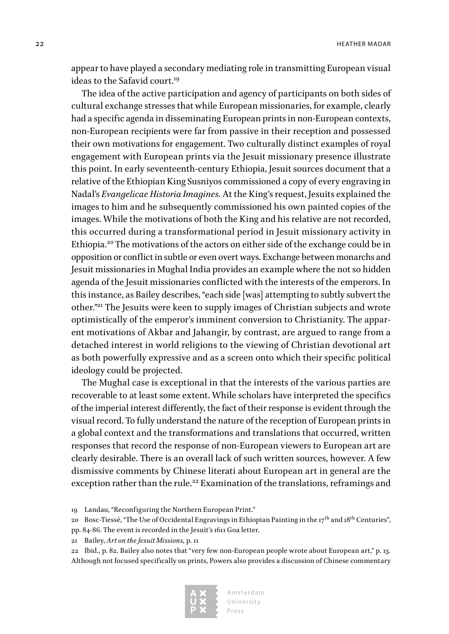22 **HEATHER MADAR** 

appear to have played a secondary mediating role in transmitting European visual ideas to the Safavid court.<sup>19</sup>

The idea of the active participation and agency of participants on both sides of cultural exchange stresses that while European missionaries, for example, clearly had a specific agenda in disseminating European prints in non-European contexts, non-European recipients were far from passive in their reception and possessed their own motivations for engagement. Two culturally distinct examples of royal engagement with European prints via the Jesuit missionary presence illustrate this point. In early seventeenth-century Ethiopia, Jesuit sources document that a relative of the Ethiopian King Susniyos commissioned a copy of every engraving in Nadal's *Evangelicae Historia Imagines.* At the King's request, Jesuits explained the images to him and he subsequently commissioned his own painted copies of the images. While the motivations of both the King and his relative are not recorded, this occurred during a transformational period in Jesuit missionary activity in Ethiopia.20 The motivations of the actors on either side of the exchange could be in opposition or conflict in subtle or even overt ways. Exchange between monarchs and Jesuit missionaries in Mughal India provides an example where the not so hidden agenda of the Jesuit missionaries conflicted with the interests of the emperors. In this instance, as Bailey describes, "each side [was] attempting to subtly subvert the other."21 The Jesuits were keen to supply images of Christian subjects and wrote optimistically of the emperor's imminent conversion to Christianity. The apparent motivations of Akbar and Jahangir, by contrast, are argued to range from a detached interest in world religions to the viewing of Christian devotional art as both powerfully expressive and as a screen onto which their specific political ideology could be projected.

The Mughal case is exceptional in that the interests of the various parties are recoverable to at least some extent. While scholars have interpreted the specifics of the imperial interest differently, the fact of their response is evident through the visual record. To fully understand the nature of the reception of European prints in a global context and the transformations and translations that occurred, written responses that record the response of non-European viewers to European art are clearly desirable. There is an overall lack of such written sources, however. A few dismissive comments by Chinese literati about European art in general are the exception rather than the rule.<sup>22</sup> Examination of the translations, reframings and

19 Landau, "Reconfiguring the Northern European Print."

20 Bosc-Tiessé, "The Use of Occidental Engravings in Ethiopian Painting in the  $17<sup>th</sup>$  and  $18<sup>th</sup>$  Centuries", pp. 84-86. The event is recorded in the Jesuit's 1611 Goa letter.

21 Bailey, *Art on the Jesuit Missions,* p. 11

22 Ibid., p. 82. Bailey also notes that "very few non-European people wrote about European art," p. 13. Although not focused specifically on prints, Powers also provides a discussion of Chinese commentary

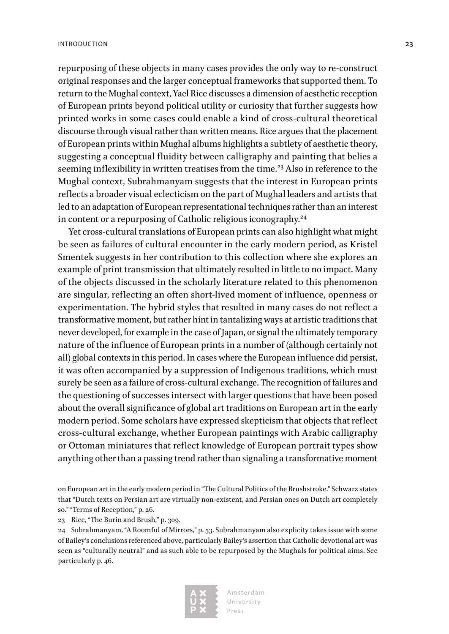repurposing of these objects in many cases provides the only way to re-construct original responses and the larger conceptual frameworks that supported them. To return to the Mughal context, Yael Rice discusses a dimension of aesthetic reception of European prints beyond political utility or curiosity that further suggests how printed works in some cases could enable a kind of cross-cultural theoretical discourse through visual rather than written means. Rice argues that the placement of European prints within Mughal albums highlights a subtlety of aesthetic theory, suggesting a conceptual fluidity between calligraphy and painting that belies a seeming inflexibility in written treatises from the time.<sup>23</sup> Also in reference to the Mughal context, Subrahmanyam suggests that the interest in European prints reflects a broader visual eclecticism on the part of Mughal leaders and artists that led to an adaptation of European representational techniques rather than an interest in content or a repurposing of Catholic religious iconography.<sup>24</sup>

Yet cross-cultural translations of European prints can also highlight what might be seen as failures of cultural encounter in the early modern period, as Kristel Smentek suggests in her contribution to this collection where she explores an example of print transmission that ultimately resulted in little to no impact. Many of the objects discussed in the scholarly literature related to this phenomenon are singular, reflecting an often short-lived moment of influence, openness or experimentation. The hybrid styles that resulted in many cases do not reflect a transformative moment, but rather hint in tantalizing ways at artistic traditions that never developed, for example in the case of Japan, or signal the ultimately temporary nature of the influence of European prints in a number of (although certainly not all) global contexts in this period. In cases where the European influence did persist, it was often accompanied by a suppression of Indigenous traditions, which must surely be seen as a failure of cross-cultural exchange. The recognition of failures and the questioning of successes intersect with larger questions that have been posed about the overall significance of global art traditions on European art in the early modern period. Some scholars have expressed skepticism that objects that reflect cross-cultural exchange, whether European paintings with Arabic calligraphy or Ottoman miniatures that reflect knowledge of European portrait types show anything other than a passing trend rather than signaling a transformative moment

on European art in the early modern period in "The Cultural Politics of the Brushstroke." Schwarz states that "Dutch texts on Persian art are virtually non-existent, and Persian ones on Dutch art completely so." "Terms of Reception," p. 26.

<sup>24</sup> Subrahmanyam, "A Roomful of Mirrors," p. 53. Subrahmanyam also explicity takes issue with some of Bailey's conclusions referenced above, particularly Bailey's assertion that Catholic devotional art was seen as "culturally neutral" and as such able to be repurposed by the Mughals for political aims. See particularly p. 46.



<sup>23</sup> Rice, "The Burin and Brush," p. 309.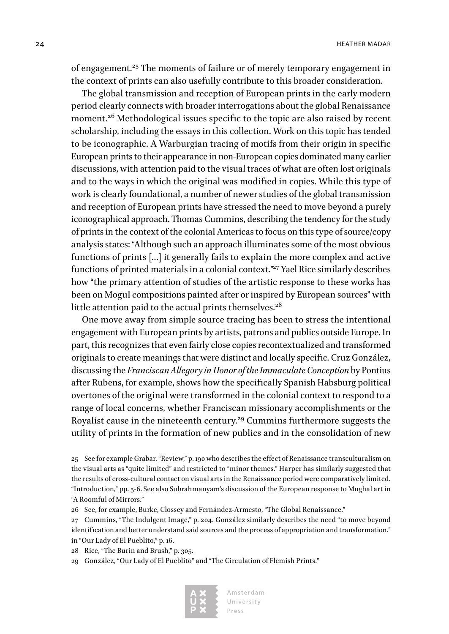of engagement.25 The moments of failure or of merely temporary engagement in the context of prints can also usefully contribute to this broader consideration.

The global transmission and reception of European prints in the early modern period clearly connects with broader interrogations about the global Renaissance moment.<sup>26</sup> Methodological issues specific to the topic are also raised by recent scholarship, including the essays in this collection. Work on this topic has tended to be iconographic. A Warburgian tracing of motifs from their origin in specific European prints to their appearance in non-European copies dominated many earlier discussions, with attention paid to the visual traces of what are often lost originals and to the ways in which the original was modified in copies. While this type of work is clearly foundational, a number of newer studies of the global transmission and reception of European prints have stressed the need to move beyond a purely iconographical approach. Thomas Cummins, describing the tendency for the study of prints in the context of the colonial Americas to focus on this type of source/copy analysis states: "Although such an approach illuminates some of the most obvious functions of prints […] it generally fails to explain the more complex and active functions of printed materials in a colonial context."<sup>27</sup> Yael Rice similarly describes how "the primary attention of studies of the artistic response to these works has been on Mogul compositions painted after or inspired by European sources" with little attention paid to the actual prints themselves.<sup>28</sup>

One move away from simple source tracing has been to stress the intentional engagement with European prints by artists, patrons and publics outside Europe. In part, this recognizes that even fairly close copies recontextualized and transformed originals to create meanings that were distinct and locally specific. Cruz González, discussing the *Franciscan Allegory in Honor of the Immaculate Conception* by Pontius after Rubens, for example, shows how the specifically Spanish Habsburg political overtones of the original were transformed in the colonial context to respond to a range of local concerns, whether Franciscan missionary accomplishments or the Royalist cause in the nineteenth century.<sup>29</sup> Cummins furthermore suggests the utility of prints in the formation of new publics and in the consolidation of new

25 See for example Grabar, "Review," p. 190 who describes the effect of Renaissance transculturalism on the visual arts as "quite limited" and restricted to "minor themes." Harper has similarly suggested that the results of cross-cultural contact on visual arts in the Renaissance period were comparatively limited. "Introduction," pp. 5-6. See also Subrahmanyam's discussion of the European response to Mughal art in "A Roomful of Mirrors."

26 See, for example, Burke, Clossey and Fernández-Armesto, "The Global Renaissance."

27 Cummins, "The Indulgent Image," p. 204. González similarly describes the need "to move beyond identification and better understand said sources and the process of appropriation and transformation." in "Our Lady of El Pueblito," p. 16.

28 Rice, "The Burin and Brush," p. 305.

29 González, "Our Lady of El Pueblito" and "The Circulation of Flemish Prints."

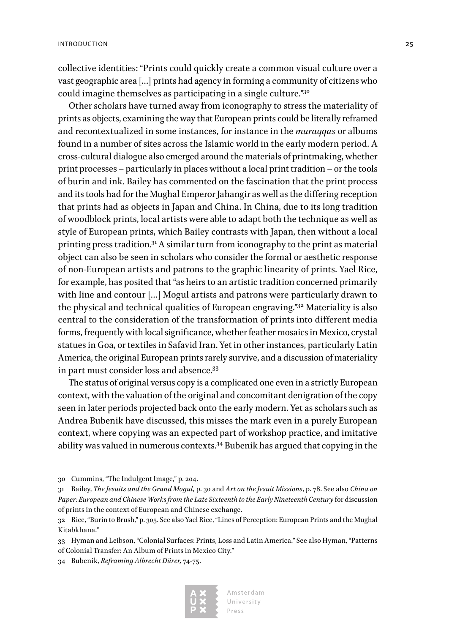collective identities: "Prints could quickly create a common visual culture over a vast geographic area […] prints had agency in forming a community of citizens who could imagine themselves as participating in a single culture."30

Other scholars have turned away from iconography to stress the materiality of prints as objects, examining the way that European prints could be literally reframed and recontextualized in some instances, for instance in the *muraqqas* or albums found in a number of sites across the Islamic world in the early modern period. A cross-cultural dialogue also emerged around the materials of printmaking, whether print processes – particularly in places without a local print tradition – or the tools of burin and ink. Bailey has commented on the fascination that the print process and its tools had for the Mughal Emperor Jahangir as well as the differing reception that prints had as objects in Japan and China. In China, due to its long tradition of woodblock prints, local artists were able to adapt both the technique as well as style of European prints, which Bailey contrasts with Japan, then without a local printing press tradition.31 A similar turn from iconography to the print as material object can also be seen in scholars who consider the formal or aesthetic response of non-European artists and patrons to the graphic linearity of prints. Yael Rice, for example, has posited that "as heirs to an artistic tradition concerned primarily with line and contour […] Mogul artists and patrons were particularly drawn to the physical and technical qualities of European engraving."32 Materiality is also central to the consideration of the transformation of prints into different media forms, frequently with local significance, whether feather mosaics in Mexico, crystal statues in Goa, or textiles in Safavid Iran. Yet in other instances, particularly Latin America, the original European prints rarely survive, and a discussion of materiality in part must consider loss and absence.33

The status of original versus copy is a complicated one even in a strictly European context, with the valuation of the original and concomitant denigration of the copy seen in later periods projected back onto the early modern. Yet as scholars such as Andrea Bubenik have discussed, this misses the mark even in a purely European context, where copying was an expected part of workshop practice, and imitative ability was valued in numerous contexts.34 Bubenik has argued that copying in the

<sup>34</sup> Bubenik, *Reframing Albrecht Dürer,* 74-75.



<sup>30</sup> Cummins, "The Indulgent Image," p. 204.

<sup>31</sup> Bailey, *The Jesuits and the Grand Mogul*, p. 30 and *Art on the Jesuit Missions*, p. 78. See also *China on Paper: European and Chinese Works from the Late Sixteenth to the Early Nineteenth Century* for discussion of prints in the context of European and Chinese exchange.

<sup>32</sup> Rice, "Burin to Brush," p. 305. See also Yael Rice, "Lines of Perception: European Prints and the Mughal Kitabkhana."

<sup>33</sup> Hyman and Leibson, "Colonial Surfaces: Prints, Loss and Latin America." See also Hyman, "Patterns of Colonial Transfer: An Album of Prints in Mexico City."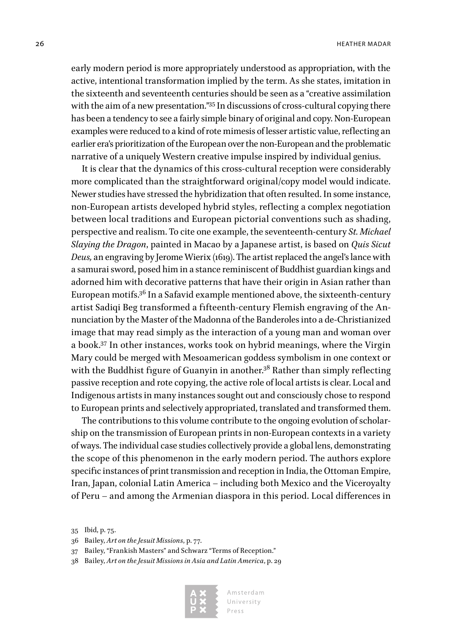early modern period is more appropriately understood as appropriation, with the active, intentional transformation implied by the term. As she states, imitation in the sixteenth and seventeenth centuries should be seen as a "creative assimilation with the aim of a new presentation."35 In discussions of cross-cultural copying there has been a tendency to see a fairly simple binary of original and copy. Non-European examples were reduced to a kind of rote mimesis of lesser artistic value, reflecting an earlier era's prioritization of the European over the non-European and the problematic narrative of a uniquely Western creative impulse inspired by individual genius.

It is clear that the dynamics of this cross-cultural reception were considerably more complicated than the straightforward original/copy model would indicate. Newer studies have stressed the hybridization that often resulted. In some instance, non-European artists developed hybrid styles, reflecting a complex negotiation between local traditions and European pictorial conventions such as shading, perspective and realism. To cite one example, the seventeenth-century *St. Michael Slaying the Dragon*, painted in Macao by a Japanese artist, is based on *Quis Sicut Deus,* an engraving by Jerome Wierix (1619). The artist replaced the angel's lance with a samurai sword, posed him in a stance reminiscent of Buddhist guardian kings and adorned him with decorative patterns that have their origin in Asian rather than European motifs.36 In a Safavid example mentioned above, the sixteenth-century artist Sadiqi Beg transformed a fifteenth-century Flemish engraving of the Annunciation by the Master of the Madonna of the Banderoles into a de-Christianized image that may read simply as the interaction of a young man and woman over a book.37 In other instances, works took on hybrid meanings, where the Virgin Mary could be merged with Mesoamerican goddess symbolism in one context or with the Buddhist figure of Guanyin in another.<sup>38</sup> Rather than simply reflecting passive reception and rote copying, the active role of local artists is clear. Local and Indigenous artists in many instances sought out and consciously chose to respond to European prints and selectively appropriated, translated and transformed them.

The contributions to this volume contribute to the ongoing evolution of scholarship on the transmission of European prints in non-European contexts in a variety of ways. The individual case studies collectively provide a global lens, demonstrating the scope of this phenomenon in the early modern period. The authors explore specific instances of print transmission and reception in India, the Ottoman Empire, Iran, Japan, colonial Latin America – including both Mexico and the Viceroyalty of Peru – and among the Armenian diaspora in this period. Local differences in

<sup>38</sup> Bailey, *Art on the Jesuit Missions in Asia and Latin America*, p. 29



<sup>35</sup> Ibid, p. 75.

<sup>36</sup> Bailey, *Art on the Jesuit Missions*, p. 77.

<sup>37</sup> Bailey, "Frankish Masters" and Schwarz "Terms of Reception."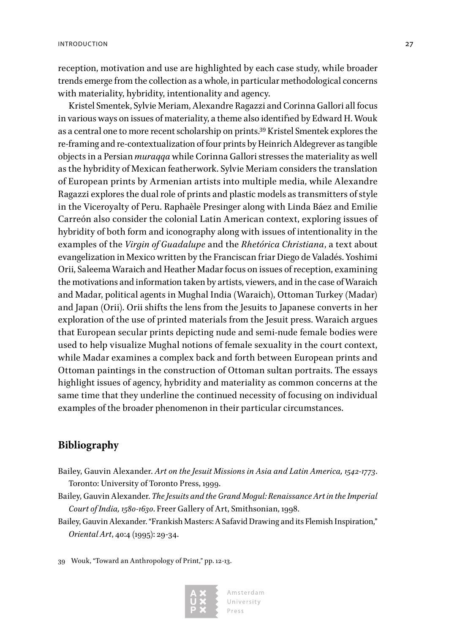reception, motivation and use are highlighted by each case study, while broader trends emerge from the collection as a whole, in particular methodological concerns with materiality, hybridity, intentionality and agency.

Kristel Smentek, Sylvie Meriam, Alexandre Ragazzi and Corinna Gallori all focus in various ways on issues of materiality, a theme also identified by Edward H. Wouk as a central one to more recent scholarship on prints.39 Kristel Smentek explores the re-framing and re-contextualization of four prints by Heinrich Aldegrever as tangible objects in a Persian *muraqqa* while Corinna Gallori stresses the materiality as well as the hybridity of Mexican featherwork. Sylvie Meriam considers the translation of European prints by Armenian artists into multiple media, while Alexandre Ragazzi explores the dual role of prints and plastic models as transmitters of style in the Viceroyalty of Peru. Raphaèle Presinger along with Linda Báez and Emilie Carreón also consider the colonial Latin American context, exploring issues of hybridity of both form and iconography along with issues of intentionality in the examples of the *Virgin of Guadalupe* and the *Rhetórica Christiana*, a text about evangelization in Mexico written by the Franciscan friar Diego de Valadés. Yoshimi Orii, Saleema Waraich and Heather Madar focus on issues of reception, examining the motivations and information taken by artists, viewers, and in the case of Waraich and Madar, political agents in Mughal India (Waraich), Ottoman Turkey (Madar) and Japan (Orii). Orii shifts the lens from the Jesuits to Japanese converts in her exploration of the use of printed materials from the Jesuit press. Waraich argues that European secular prints depicting nude and semi-nude female bodies were used to help visualize Mughal notions of female sexuality in the court context, while Madar examines a complex back and forth between European prints and Ottoman paintings in the construction of Ottoman sultan portraits. The essays highlight issues of agency, hybridity and materiality as common concerns at the same time that they underline the continued necessity of focusing on individual examples of the broader phenomenon in their particular circumstances.

### **Bibliography**

- Bailey, Gauvin Alexander. *Art on the Jesuit Missions in Asia and Latin America, 1542-1773*. Toronto: University of Toronto Press, 1999.
- Bailey, Gauvin Alexander. *The Jesuits and the Grand Mogul: Renaissance Art in the Imperial Court of India, 1580-1630*. Freer Gallery of Art, Smithsonian, 1998.
- Bailey, Gauvin Alexander. "Frankish Masters: A Safavid Drawing and its Flemish Inspiration," *Oriental Art*, 40:4 (1995): 29-34.
- 39 Wouk, "Toward an Anthropology of Print," pp. 12-13.

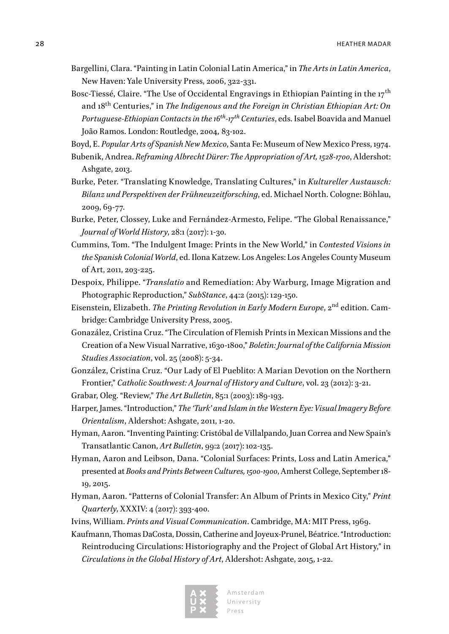- Bargellini, Clara. "Painting in Latin Colonial Latin America," in *The Arts in Latin America*, New Haven: Yale University Press, 2006, 322-331.
- Bosc-Tiessé, Claire. "The Use of Occidental Engravings in Ethiopian Painting in the 17<sup>th</sup> and 18th Centuries," in *The Indigenous and the Foreign in Christian Ethiopian Art: On Portuguese-Ethiopian Contacts in the 16th-17th Centuries*, eds. Isabel Boavida and Manuel João Ramos. London: Routledge, 2004*,* 83-102.

Boyd, E. *Popular Arts of Spanish New Mexico*, Santa Fe: Museum of New Mexico Press, 1974.

- Bubenik, Andrea. *Reframing Albrecht Dürer: The Appropriation of Art, 1528-1700*, Aldershot: Ashgate, 2013.
- Burke, Peter. "Translating Knowledge, Translating Cultures," in *Kultureller Austausch: Bilanz und Perspektiven der Frühneuzeitforsching*, ed. Michael North. Cologne: Böhlau, 2009, 69-77.
- Burke, Peter, Clossey, Luke and Fernández-Armesto, Felipe. "The Global Renaissance," *Journal of World History*, 28:1 (2017): 1-30.
- Cummins, Tom. "The Indulgent Image: Prints in the New World," in *Contested Visions in the Spanish Colonial World*, ed. Ilona Katzew. Los Angeles: Los Angeles County Museum of Art, 2011, 203-225.
- Despoix, Philippe. "*Translatio* and Remediation: Aby Warburg, Image Migration and Photographic Reproduction," *SubStance*, 44:2 (2015): 129-150.
- Eisenstein, Elizabeth. *The Printing Revolution in Early Modern Europe*, 2<sup>nd</sup> edition. Cambridge: Cambridge University Press, 2005.
- Gonazález, Cristina Cruz. "The Circulation of Flemish Prints in Mexican Missions and the Creation of a New Visual Narrative, 1630-1800," *Boletìn: Journal of the California Mission Studies Association*, vol. 25 (2008): 5-34.
- González, Cristina Cruz. "Our Lady of El Pueblito: A Marian Devotion on the Northern Frontier," *Catholic Southwest: A Journal of History and Culture*, vol. 23 (2012): 3-21.
- Grabar, Oleg. "Review," *The Art Bulletin*, 85:1 (2003): 189-193.
- Harper, James. "Introduction," *The 'Turk' and Islam in the Western Eye: Visual Imagery Before Orientalism*, Aldershot: Ashgate, 2011, 1-20.
- Hyman, Aaron. "Inventing Painting: Cristóbal de Villalpando, Juan Correa and New Spain's Transatlantic Canon, *Art Bulletin*, 99:2 (2017): 102-135.
- Hyman, Aaron and Leibson, Dana. "Colonial Surfaces: Prints, Loss and Latin America," presented at *Books and Prints Between Cultures, 1500-1900*, Amherst College, September 18- 19, 2015.
- Hyman, Aaron. "Patterns of Colonial Transfer: An Album of Prints in Mexico City," *Print Quarterly*, XXXIV: 4 (2017): 393-400.
- Ivins, William. *Prints and Visual Communication*. Cambridge, MA: MIT Press, 1969.
- Kaufmann, Thomas DaCosta, Dossin, Catherine and Joyeux-Prunel, Béatrice. "Introduction: Reintroducing Circulations: Historiography and the Project of Global Art History," in *Circulations in the Global History of Art*, Aldershot: Ashgate, 2015, 1-22.